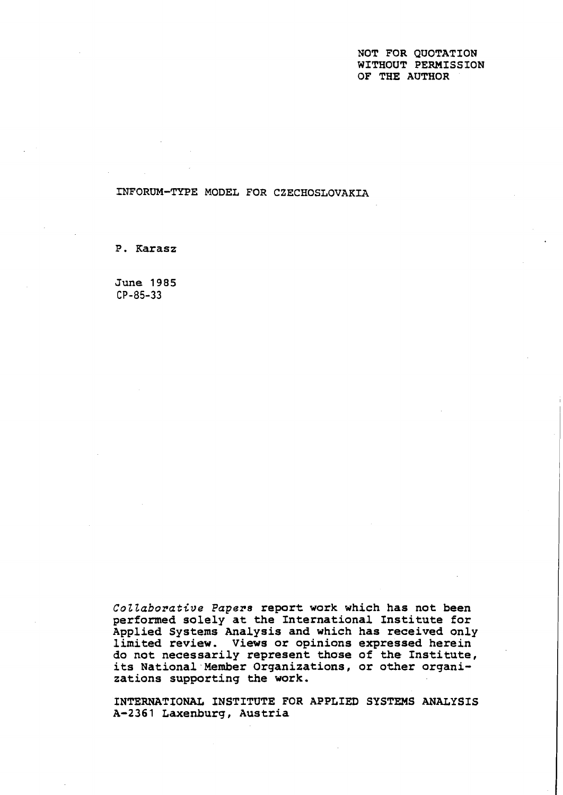NOT **FOR** QUOTATION WITHOUT PERMISSION OF THE AUTHOR

**INFORUM-TYPE** MODEL **FOR** CZECHOSLOVAKIA

P. Karasz

June 1985 **CP-85-33** 

**Cottaborative Papers** report work which has not been performed solely at the International Institute for Applied Systems Analysis and which has received only limited review. Views or opinions expressed herein do not necessarily represent those of the Institute, its National Member Organizations, or other organizations supporting the work.

INTERNATIONAL INSTITUTE FOR APPLIED SYSTEMS ANALYSIS **A-236** 1 Laxenburg, Austria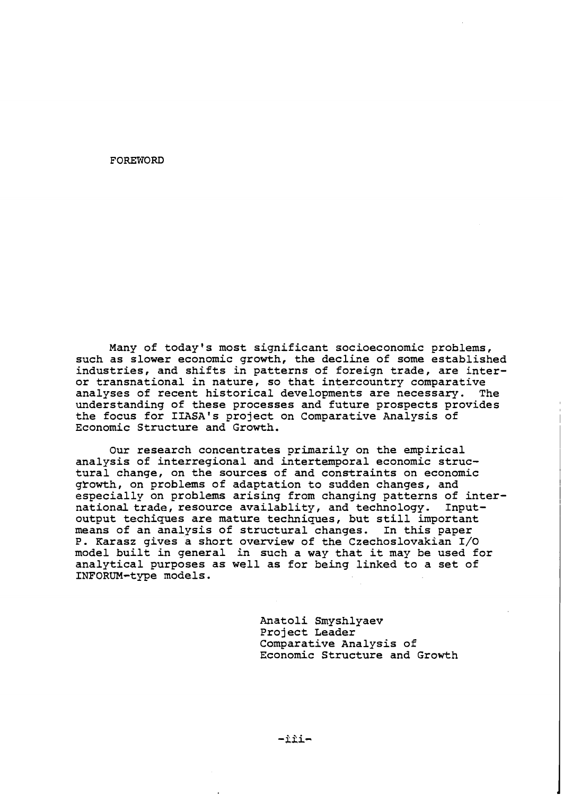**FOREWORD** 

Many of todayts most significant socioeconomic problems, such as slower economic growth, the decline of some established industries, and shifts in patterns of foreign trade, are interor transnational in nature, so that intercountry comparative analyses of recent historical developments are necessary. The understanding of these processes and future prospects provides the focus for IIASA's project on Comparative Analysis of Economic Structure and Growth.

Our research concentrates primarily on the empirical analysis of interregional and intertemporal economic structural change, on the sources of and constraints on economic gYowth, on problems of adaptation to sudden changes, and especially on problems arising from changing patterns of international trade, resource availablity, and technology. Inputoutput techiques are mature techniques, but still important<br>means of an analysis of structural changes. In this paper means of an analysis of structural changes. P. Karasz gives a short overview of the Czechoslovakian 1/0 model built in general in such a way that it may be used for analytical purposes as well as for being linked to a set of INFORUM-type models.

> Anatoli Smyshlyaev Project Leader Comparative Analysis of Economic Structure and Growth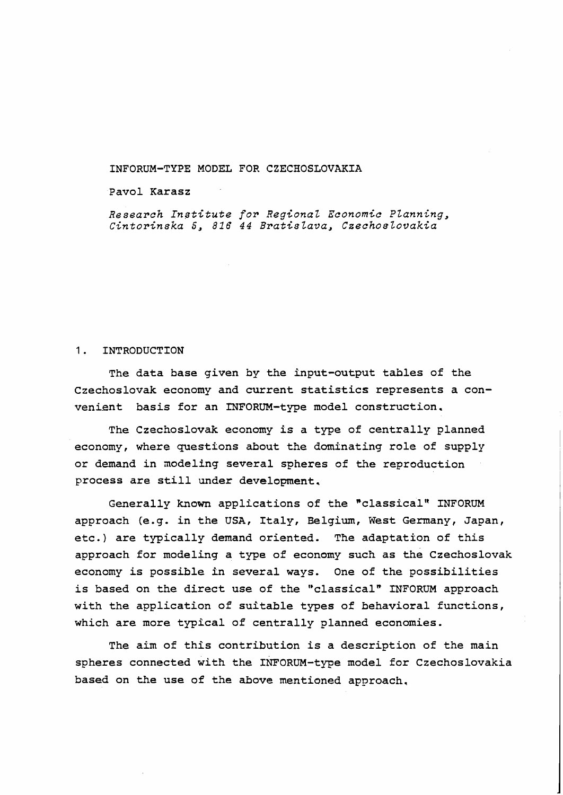## INFORUM-TYPE MODEL FOR CZECHOSLOVAKIA

### Pavol Karasz

Research Institute for Regional Economic Planning, Cintorinska 5, 816 44 Bratislava, Czechoslovakia

### 1. INTRODUCTION

The data base given by the input-output tables of the Czechoslovak economy and current statistics represents a convenient basis for an INFORUM-type model construction.

The Czechoslovak economy is a type of centrally planned economy, where questions about the dominating role of supply or demand in modeling several spheres of the reproduction process are still under development.

Generally known applications of the "classical" INFORUM approach (e.g. in the USA, Italy, Belgium, West Germany, Japan, etc.) are typically demand oriented. The adaptation of this approach for modeling a type of economy such as the Czechoslovak economy is possible in several ways. One of the possibilities is based on the direct use of the "classical" INFORUM approach with the application of suitable types of behavioral functions, which are more typical of centrally planned economies.

The aim of this contribution is a description of the main spheres connected with the INFORUM-type model for Czechoslovakia based on the use of the above mentioned approach,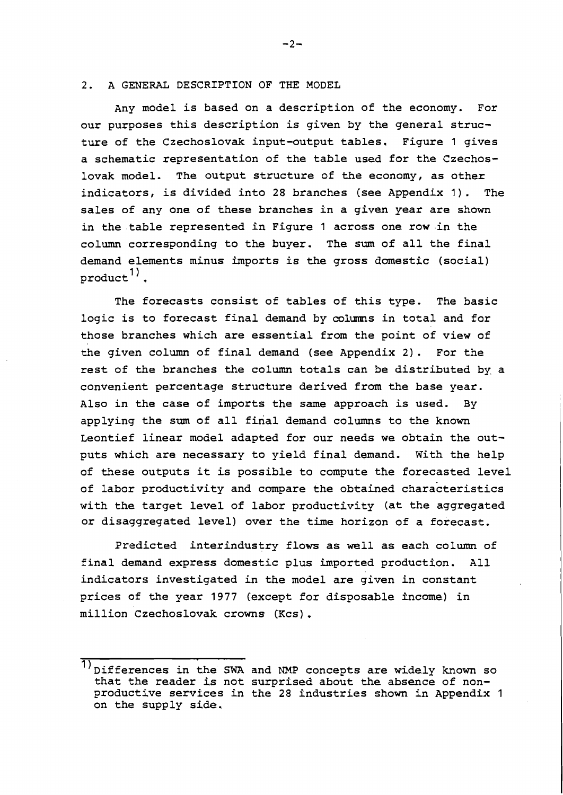#### **2.** A GENERAL DESCRIPTION OF THE MODEL

Any model is based on a description of the economy. For our purposes this description is given by the general structure of the Czechoslovak input-output tables. Figure 1 gives a schematic representation of the table used for the Czechoslovak model. The output structure of the economy, as other indicators, is divided into 28 branches (see Appendix 1). The sales of any one of these branches in a given year are shown in the table represented in Figure 1 across one row in the column corresponding to the buyer. The sum of all the final demand elements minus imports is the gross dmestic (social)  $product^{1)}$ .

The forecasts consist of tables of this type. The basic logic is to forecast final demand by colmms in total and for those branches which are essential from the point of view of the given column of final demand (see Appendix 2). For the rest of the branches the column totals can be distributed by. a convenient percentage structure derived from the base year. Also in the case of imports the same approach is used. By applying the sum of all final demand columns to the known Leontief linear model adapted for our needs we obtain the outputs which are necessary to yield final demand. With the help of these outputs it is possible to compute the forecasted level of labor productivity and compare the obtained characteristics with the target level of labor productivity (at the aggregated or disaggregated level) over the time horizon of a forecast.

Predicted interindustry flows as well as each column of final demand express domestic plus imported production. All indicators investigated in the model are given in constant prices of the year 1977 (except for disposable hcome) in million Czechoslovak crowns (Kcs) .

 $-2-$ 

 $\overline{1}$ ) Differences in the SWA and NMP concepts are widely known so that the reader is not surprised about the absence of nonproductive services in the 28 industries shown in Appendix 1 on the supply side.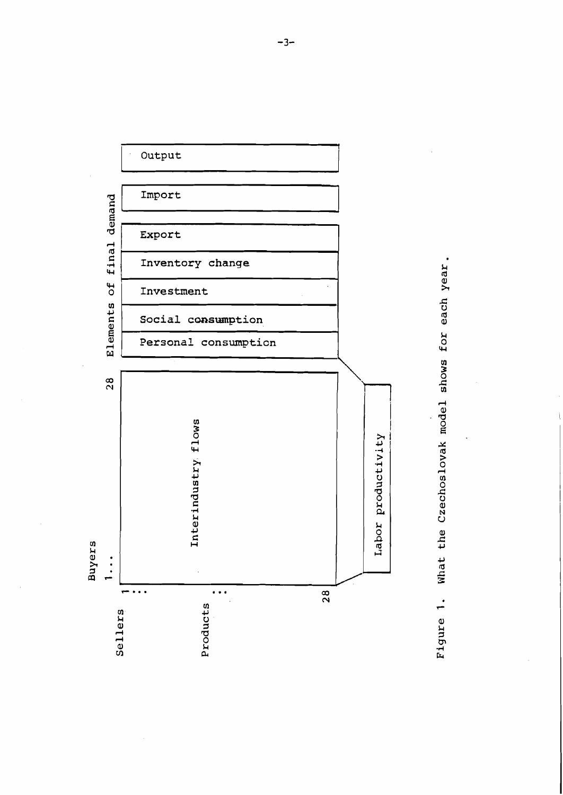

What the Czechoslovak model shows for each year. Figure 1.

 $-3-$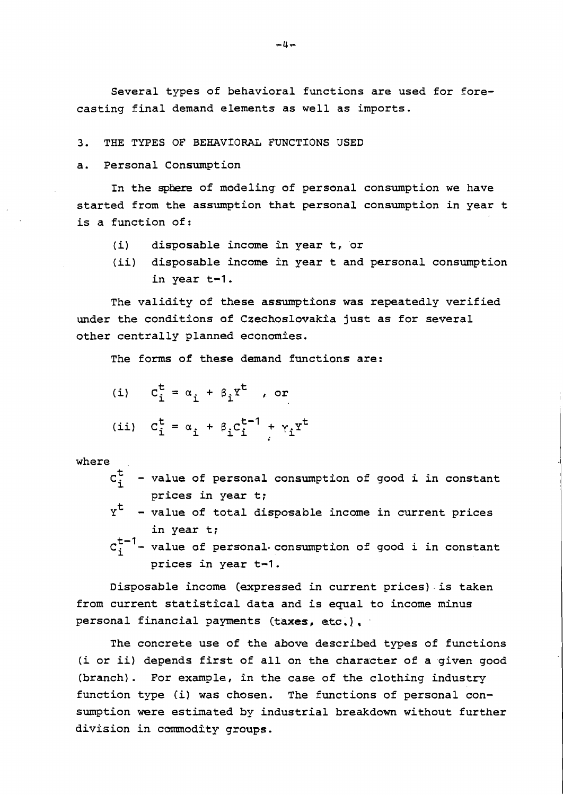Several types of behavioral functions are used for forecasting final demand elements as well as imports.

**3.** THE TYPES OF BEHAVIORAL FUNCTIONS USED

a. Personal Consumption

In the sphere of modeling of personal consumption we have started from the assumption that personal consumption in year t is a function of:

- (i) disposable income in year t, or
- (ii) disposable income in year t and personal consumption in year t-1.

The validity of these assumptions was repeatedly verified under the conditions of Czechoslwakia just as for several other centrally planned economies.

The forms of these demand functions are:

| (i) $c_i^t = \alpha_i + \beta_i r^t$ , or                  |
|------------------------------------------------------------|
| (ii) $c_i^t = \alpha_i + \beta_i c_i^{t-1} + \gamma_i x^t$ |

where

- $C_i^t$  value of personal consumption of good i in constant prices in year t;
- $\boldsymbol{\gamma}^\texttt{t}$  value of total disposable income in current prices in year t;
- $c_i^{t-1}$  value of personal consumption of good i in constant prices in year t-1.

Disposable income (expressed in current prices)-is taken from current statistical data and is equal to income minus personal financial payments (taxes, **ctc** ,] ,

The concrete use of the above described types of functions (i or ii) depends first of all on the character of a given good (branch). For example, In the case of the clothing industry function type (i] was chosen. The functions of personal consumption were estimated by industrial breakdown without further division in commodity groups.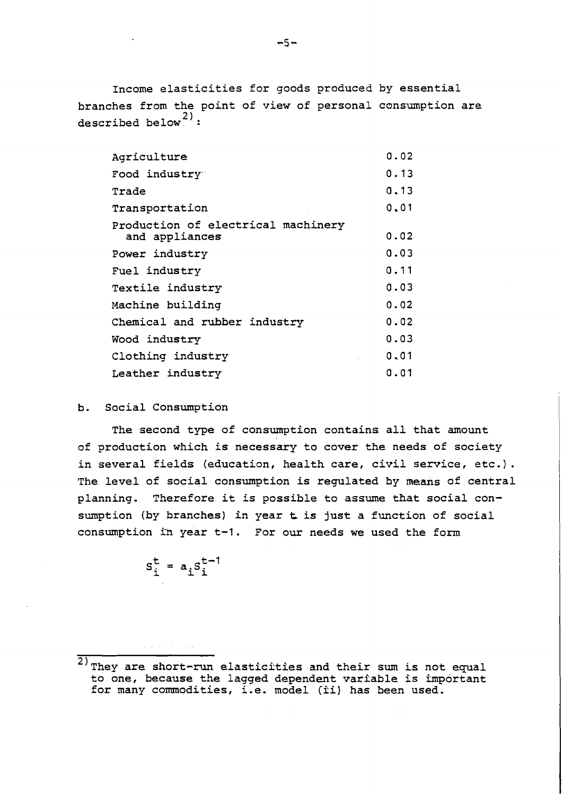Income elasticities for goods produced by essential branches from the point of view of personal consumption are described below<sup>2)</sup>:

| Agriculture                                          | 0.02 |
|------------------------------------------------------|------|
| Food industry                                        | 0.13 |
| Trade                                                | 0,13 |
| Transportation                                       | 0.01 |
| Production of electrical machinery<br>and appliances | 0.02 |
| Power industry                                       | 0.03 |
| Fuel industry                                        | 0.11 |
| Textile industry                                     | 0.03 |
| Machine building                                     | 0.02 |
| Chemical and rubber industry                         | 0.02 |
| Wood industry                                        | 0.03 |
| Clothing industry                                    | 0.01 |
| Leather industry                                     | 0.01 |

# b. Social Consumption

The second type of consumption contains all that amount of production which is necessary to cover the needs of society in several fields (education, health care, civil service, etc.) . The level of social consumption is regulated by means of central planning, Therefore it is possible to assume that social consumption (by branches) in year **t** is just a function of social consumption in year t-1. For our needs we used the form

$$
s_i^t = a_i s_i^{t-1}
$$

<sup>- - -- ~</sup>   $\overline{c}$ ) They are short-run elasticities and their sum is not equal to one, because the lagged dependent variable is important for many commodities, i.e. model (ii) has been used.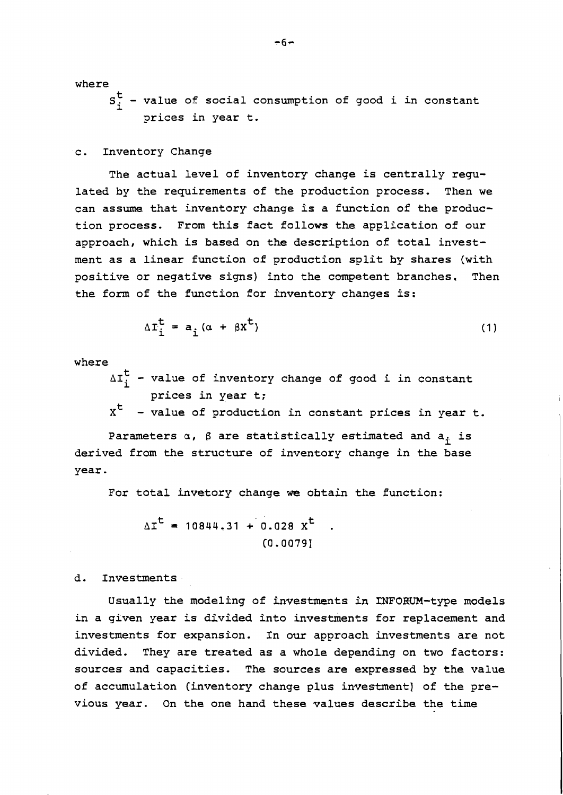where

 $s_i^t$  - value of social consumption of good i in constant prices in year t.

#### c. Inventory Change

The actual level of inventory change is centrally regulated by the requirements of the production process. Then we can assume that inventory change is a function of the production process. From this fact follows the application of our approach, which is based on the description of total investment as a linear function of production split by shares (with positive or negative signs) into the competent branches. Then the form of the function for inventory changes is:

$$
\Delta \mathbf{I}_{i}^{\mathbf{t}} = \mathbf{a}_{i} (\alpha + \beta \mathbf{X}^{\mathbf{t}})
$$
 (1)

where

 $\Delta I_i^t$  - value of inventory change of good i in constant prices in year t;

 $x<sup>t</sup>$  - value of production in constant prices in year t.

Parameters  $\alpha$ ,  $\beta$  are statistically estimated and  $a_i$  is derived from the structure of inventory change in the base year.

For total invetory change **we** obtain the function:

$$
\Delta I^{t} = 10844.31 + 0.028 X^{t} .
$$
  
(0.0079)

### d. Investments

Usually the modeling of investments in INFORUM-type models in a given year is divided into investments for replacement and investments for expansion. In our approach investments are not divided. They are treated as a whole depending on two factors: sources and capacities. The sources are expressed by the value of accumulation (inventory change plus investment] of the previous year. On the one hand these values describe the time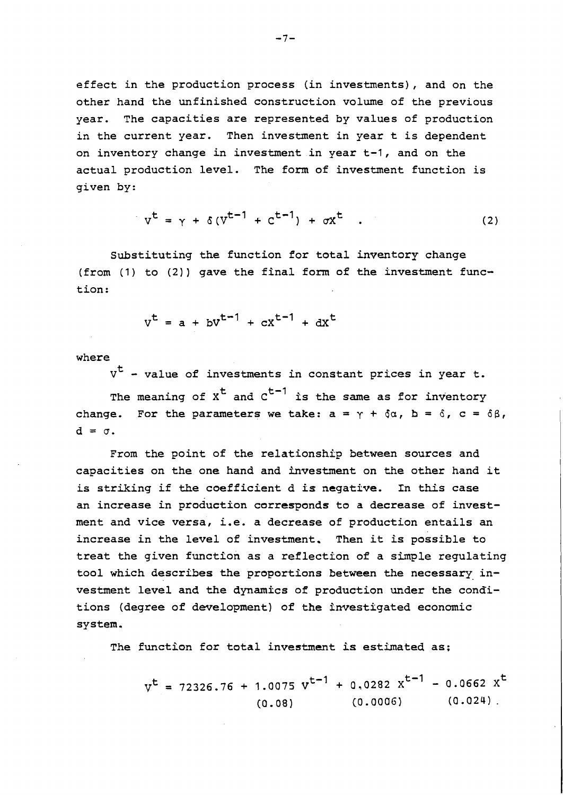effect in the production process (in investments), and on the other hand the unfinished construction volume of the previous year. The capacities are represented by values of production in the current year. Then investment in year t is dependent on inventory change in investment in year t-1, and on the actual production level. The form of investment function is given by:

$$
v^{t} = \gamma + \delta (v^{t-1} + c^{t-1}) + \sigma x^{t} \quad . \tag{2}
$$

Substituting the function for total inventory change (from  $(1)$  to  $(2)$ ) gave the final form of the investment function :

$$
v^{t} = a + bv^{t-1} + cx^{t-1} + dx^{t}
$$

where

 $v<sup>t</sup>$  - value of investments in constant prices in year t.

The meaning of  $x^t$  and  $c^{t-1}$  is the same as for inventory change. For the parameters we take:  $a = \gamma + \delta a$ ,  $b = \delta$ ,  $c = \delta \beta$ ,  $d = \sigma$ .

From the point of the relationship between sources and capacities on the one hand and investment on the other hand it is striking if the coefficient d is negative. Tn this case an increase in production corresponds to a decrease of investment and vice versa, i.e. a decrease of production entails an increase in the level of investment. Then it is possible to treat the given function as a reflection of a simple regulating tool which describes the proportions between the necessary investment level and the dynamics of production under the conditions (degree of development) of the investigated economic system.

The functjon for total investment **is** estimated as:

 $v^t$  = 72326.76 + 1.0075  $v^{t-1}$  + 0.0282  $x^{t-1}$  - 0.0662  $x^t$  $(0.0006)$   $(0.024)$ .  $(0.08)$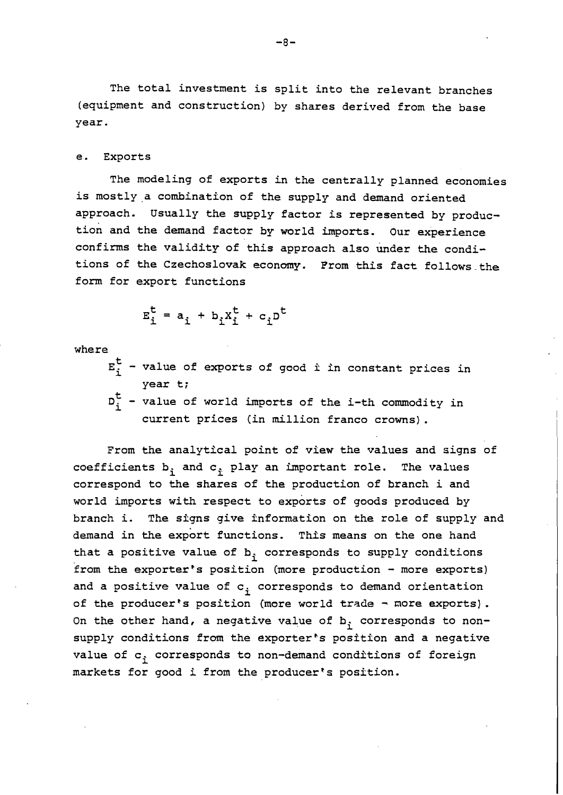The total investment is split into the relevant branches (equipment and construction) by shares derived from the base year.

#### e. Exports

The modeling of exports in the centrally planned economies is mostly a combination of the supply and demand oriented approach. Usually the supply factor is represented by production and the demand factor by world imports. Our experience confirms the validity of this approach also under the conditions of the Czechoslovak economy. From this fact follows-the form for export functions

$$
E_i^t = a_i + b_i X_i^t + c_i D^t
$$

where

- $E^t_i$  value of exports of good *i* in constant prices in year t;
- $D^{\mathbf{t}}_i$  value of world imports of the i-th commodity in current prices (in million franco crowns).

From the analytical point of view the values and signs of coefficients  $b_i$  and  $c_i$  play an important role. The values correspond to the shares of the production of branch i and world imports with respect to exports of goods produced by branch i. The signs give information on the role of supply and demand in the export functions. This means on the one hand that a positive value of  $b_i$  corresponds to supply conditions from the exporter's position (more production - more exports) and a positive value of  $c_i$  corresponds to demand orientation of the producer's position (more world trade - more exports). On the other hand, a negative value of  $b_i$  corresponds to nonsupply conditions from the exporter's position and a negative value of  $c_i$  corresponds to non-demand conditions of foreign markets for good i from the producer's position.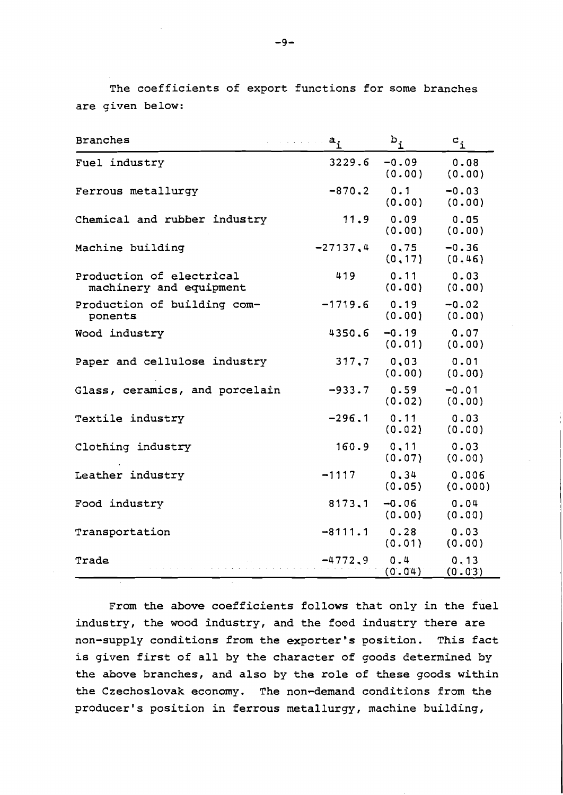The coefficients of export functions for some branches are given below:

| <b>Branches</b>                                     | $a_{\dot{1}}$ | $\mathtt{b}_{\mathtt{i}}$ | $\mathtt{c}_{\mathtt{i}}$ |
|-----------------------------------------------------|---------------|---------------------------|---------------------------|
| Fuel industry                                       | 3229.6        | $-0.09$<br>(0.00)         | 0.08<br>(0.00)            |
| Ferrous metallurgy                                  | $-870.2$      | 0.1<br>(0.00)             | $-0.03$<br>(0.00)         |
| Chemical and rubber industry                        | 11.9          | 0.09<br>(0.00)            | 0.05<br>(0.00)            |
| Machine building                                    | $-27137,4$    | 0,75<br>(0, 17)           | $-0.36$<br>(0.46)         |
| Production of electrical<br>machinery and equipment | 419           | 0.11<br>(0.00)            | 0.03<br>(0.00)            |
| Production of building com-<br>ponents              | $-1719.6$     | 0.19<br>(0.00)            | $-0.02$<br>(0.00)         |
| Wood industry                                       | 4350.6        | $-0.19$<br>(0.01)         | 0.07<br>(0.00)            |
| Paper and cellulose industry                        | 317,7         | 0,03<br>(0.00)            | 0.01<br>(0.00)            |
| Glass, ceramics, and porcelain                      | $-933.7$      | 0.59<br>(0.02)            | $-0.01$<br>(0.00)         |
| Textile industry                                    | $-296.1$      | 0.11<br>(0.02)            | 0.03<br>(0.00)            |
| Clothing industry                                   | 160.9         | 0.11<br>(0.07)            | 0.03<br>(0.00)            |
| Leather industry                                    | $-1117$       | 0, 34<br>(0.05)           | 0.006<br>(0.000)          |
| Food industry                                       | 8173.1        | $-0.06$<br>(0.00)         | 0.04<br>(0.00)            |
| Transportation                                      | $-8111.1$     | 0.28<br>(0.01)            | 0.03<br>(0.00)            |
| Trade                                               | $-4772.9$     | 0.4<br>(0.04)             | 0.13<br>(0.03)            |

From the above coefficients follows that only in the fuel industry, the wood industry, and the food industry there are non-supply conditions from the exporter's position. This fact is given first of all by the character of goods determined by the above branches, and also by the role of these goods within the Czechoslovak economy. The non-demand conditions from the producer's position in ferrous metallurgy, machine building,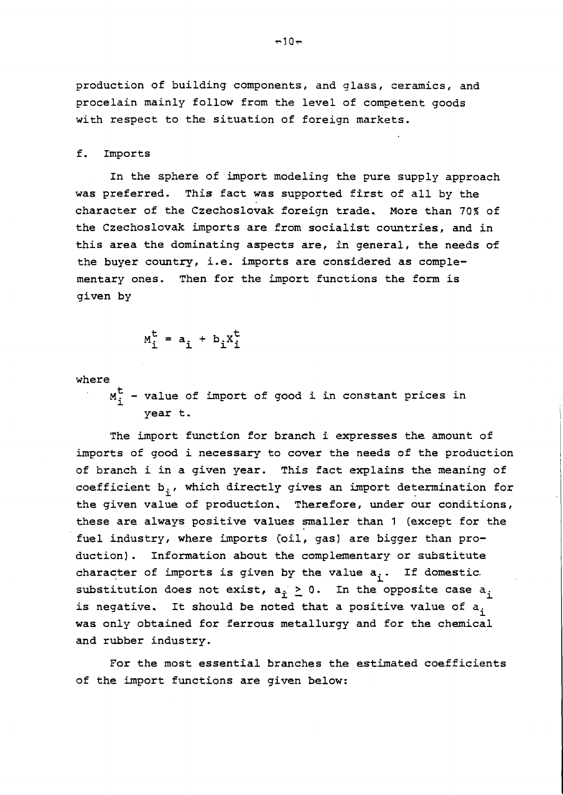production of building components, and glass, ceramics, and procelain mainly follow from the level of competent goods with respect to the situation of foreign markets.

### f. Imports

In the sphere of import modeling the pure supply approach was preferred. This fact was supported first of all by the character of the Czechoslovak foreign trade. More than 70% of the Czechoslovak imports are from socialist countries, and in this area the dominating aspects are, In general, the needs of the buyer country, i.e. imports are considered as complementary ones. Then for the import functions the form is given by

$$
M_i^t = a_i + b_i X_i^t
$$

where

**M:** - value of import of good **i** in constant prices in year t.

The import function for branch *i* expresses the amount of imports of good i necessary to cover the needs of the production of branch i in a given year. This fact explains the meaning of coefficient  $b_i$ , which directly gives an import determination for the given value of production. Therefore, under our conditions, these are always positive values smaller than 1 (except for the fuel industry, where imports (oil, gas) are bigger than production). Information about the complementary or substitute character of imports is given by the value a<sub>i</sub>. If domestic. substitution does not exist,  $a_{\hat{p}} \geq 0$ . In the opposite case  $a_{\hat{p}}$ is negative. It should be noted that a positive value of  $a_i$ was only obtained for ferrous metallurgy and for the chemical and rubber industry.

For the most essential branches the estimated coefficients of the import functions are given below: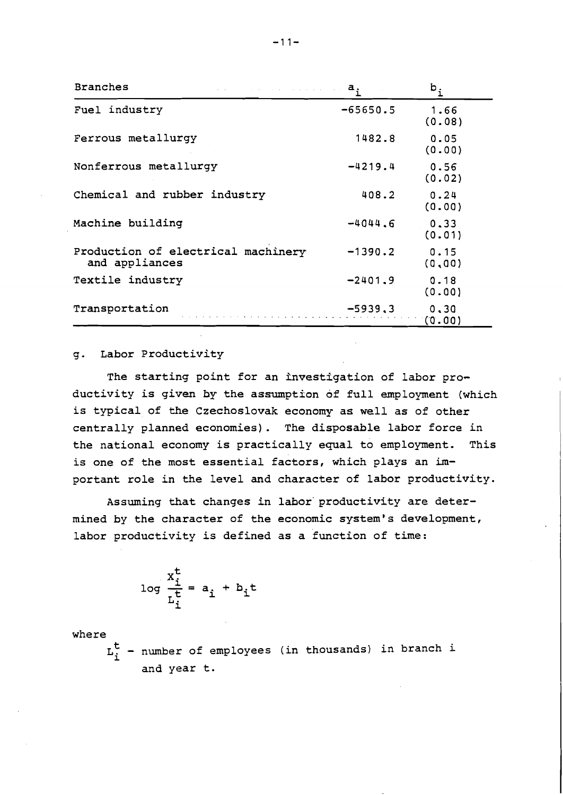| <b>Branches</b>                                      | $a_i$      | $b_i$           |
|------------------------------------------------------|------------|-----------------|
| Fuel industry                                        | $-65650.5$ | 1.66<br>(0.08)  |
| Ferrous metallurgy                                   | 1482.8     | 0.05<br>(0.00)  |
| Nonferrous metallurgy                                | $-4219.4$  | 0.56<br>(0.02)  |
| Chemical and rubber industry                         | 408.2      | 0.24<br>(0.00)  |
| Machine building                                     | $-4044.6$  | 0.33<br>(0.01)  |
| Production of electrical machinery<br>and appliances | $-1390.2$  | 0.15<br>(0, 00) |
| Textile industry                                     | $-2401.9$  | 0.18<br>(0.00)  |
| Transportation                                       | $-5939.3$  | 0, 30<br>(0.00) |

# g. Labor Productivity

The starting point for an investigation of labor productivity is given by the assumption of full employment (which is typical of the Czechoslovak economy as well as of other centrally planned economies). The disposable labor force in the national economy is practically equal to employment. This is one of the most essential factors, which plays an important role in the level and character of labor productivity.

Assuming that changes in labor' productivity are determined by the character of the economic system's development, labor productivity is defined as a function of time:

$$
\log \frac{x_i^t}{\frac{t}{L_i^t}} = a_i + b_i t
$$

where

L: - number of employees (in thousands) in branch **<sup>i</sup>** and year t.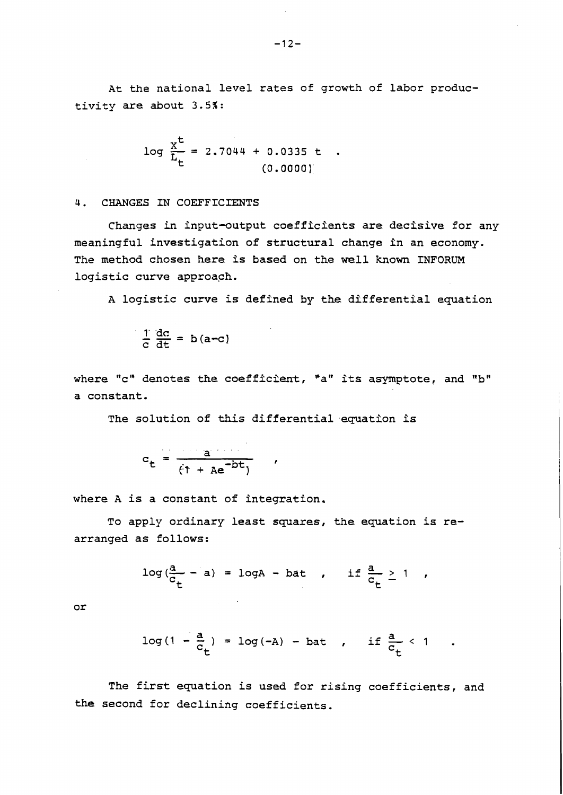At the national level rates of growth of labor productivity are about 3.5%:

$$
\log \frac{x^t}{\overline{L}_t} = 2.7044 + 0.0335 t .
$$
\n(0.0000)

4. CHANGES IN COEFFICIENTS

Changes in input-output coefficients are decisive for any meaningful investigation of structural change in an economy. The method chosen here Is based on the well known **INFORUM**  logistic curve approach.

A logistic curve is defined by the differential equation

$$
\frac{1}{c} \frac{dc}{dt} = b(a-c)
$$

where "c" denotes the coefficient, "a" its asymptote, and "b" a constant.

 $\mathbf{r}$ 

The solution of this differential equation is

$$
c_t = \frac{a}{(1 + ae^{-bt})}
$$

where A is a constant of integration.

To apply ordinary least squares, the equation is rearranged as follows:

s follows:  
\n
$$
log(\frac{a}{c_t} - a) = logA - bat
$$
, if  $\frac{a}{c_t} \ge 1$ ,

or

$$
log(1 - \frac{a}{c_t}) = log(-A) - bat
$$
, if  $\frac{a}{c_t} < 1$ 

The first equation is used for rising coefficients, and the second for declining coefficients.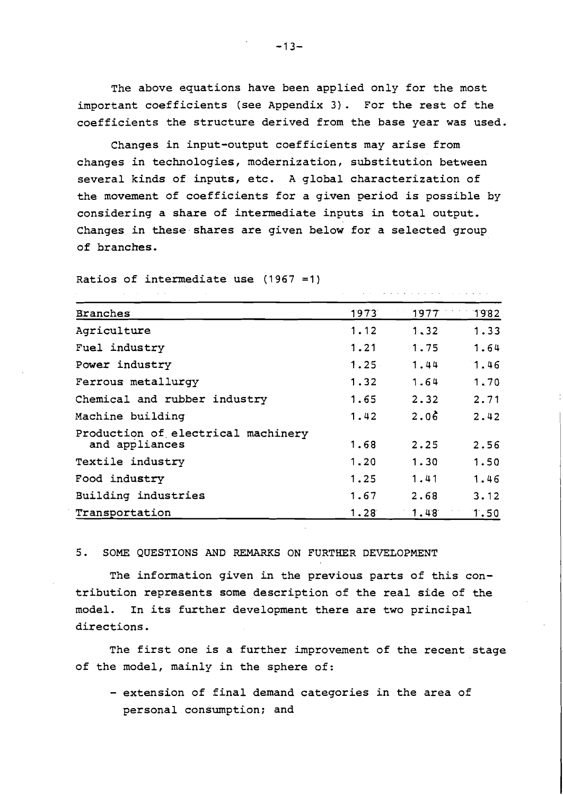The above equations have been applied only for the most important coefficients (see Appendix 3). For the rest of the coefficients the structure derived from the base year was used.

Changes in input-output coefficients may arise from changes in technologies, modernization, substitution between several kinds of inputs, etc. A global characterization of the movement of coefficients for a given period is possible by considering a share of intermediate inputs in total output. Changes in these shares are given below for a selected group of branches.

المتعاطي والمتناور المتمالي والمتناور والمتمرد

| <b>Branches</b>                                      | 1973 | 1977 | 1982 |
|------------------------------------------------------|------|------|------|
| Agriculture                                          | 1.12 | 1.32 | 1.33 |
| Fuel industry                                        | 1.21 | 1.75 | 1.64 |
| Power industry                                       | 1.25 | 1.44 | 1.46 |
| Ferrous metallurgy                                   | 1.32 | 1.64 | 1.70 |
| Chemical and rubber industry                         | 1.65 | 2.32 | 2.71 |
| Machine building                                     | 1.42 | 2.06 | 2.42 |
| Production of electrical machinery<br>and appliances | 1.68 | 2.25 | 2.56 |
| Textile industry                                     | 1,20 | 1.30 | 1.50 |
| Food industry                                        | 1.25 | 1.41 | 1.46 |
| Building industries                                  | 1.67 | 2.68 | 3.12 |
| Transportation                                       | 1.28 | 1.48 | 1.50 |

Ratios of intermediate use (1967 =1)

## 5. SOME QUESTIONS **AND** REMARKS ON FURTHER DEVEZOPMENT

The information given in the previous parts of this contribution represents some description of the real side of the model. In its further development there are two principal directions.

The first one is a further improvement of the recent stage of the model, mainly in the sphere of:

- extension of final demand categories in the area of personal consumption; and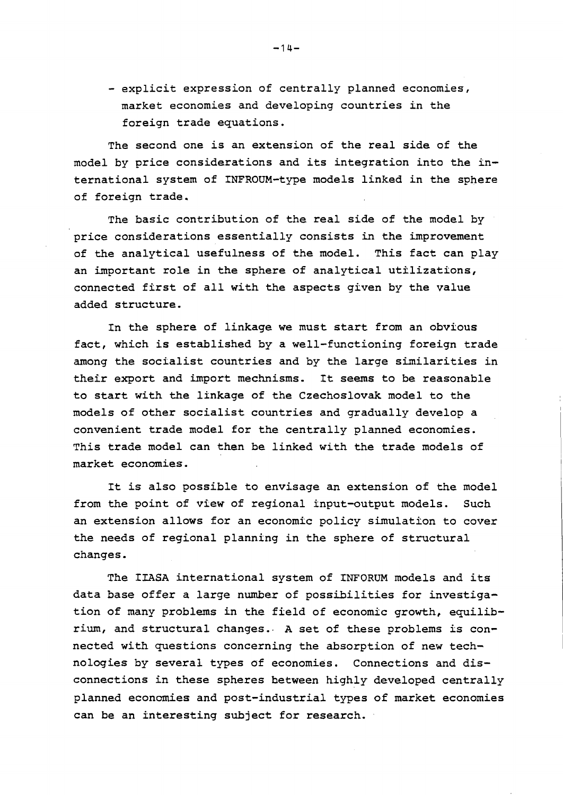- explicit expression of centrally planned economies, market economies and developing countries in the foreign trade equations.

The second one is an extension of the real side of the model by price considerations and its integration into the international system of INFROUM-type models linked in the sphere of foreign trade.

The basic contribution of the real side of the model by price considerations essentially consists in the improvement of the analytical usefulness of the model. This fact can play an important role in the sphere of analytical utilizations, connected first of all with the aspects given by the value added structure.

In the sphere of linkage we must start from an obvious fact, which is established by a well-functioning foreign trade among the socialist countries and by the large similarities in their export and import mechnisms. It seems to be reasonable to start with the linkage of the Czechoslovak model to the models of other socialist countries and gradually develop a convenient trade model for the centrally planned economies. This trade model can then be linked with the trade models of market economies.

It is also possible to envisage an extension of the model from the point of view of regional input-output models. Such an extension allows for an economic policy simulation to cover the needs of regional planning in the sphere of structural changes.

The IIASA international system of INFORUM models and its data base offer a large number of possibilities for investigation of many problems in the field of economic growth, equilibrium, and structural changes. A set of these problems is connected with questions concerning the absorption of new technologies by several types of economies. Connections and disconnections in these spheres hetween highly developed centrally planned economies and post-industrial types of market economies can be an interesting subject for research.

 $-14-$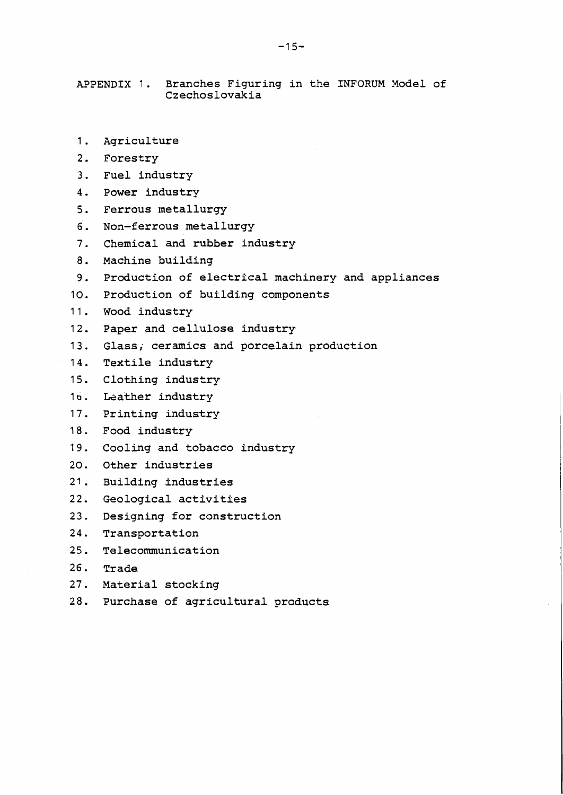APPENDIX 1. Branches Figuring in the INFORUM Model of Czechoslovakia

- Agriculture  $1.$
- 2. Forestry
- Fuel industry
- 4. Power industry
- $5.$ Ferrous metallurgy
- Non-ferrous metallurgy  $6.$
- $7.$ Chemical and rubber industry
- $8.$ Machine building
- 9. Production of electrical machinery and appliances
- 10. Production of building components
- 11. Wood industry
- Paper and cellulose industry  $12.$
- 13. Glass, ceramics and porcelain production
- 14. Textile industry
- $15.$ Clothing industry
- 16. Leather industry
- 17. Printing industry
- 18. Food industry
- $19.$ Cooling and tobacco industry
- Other industries  $20.$
- Building industries
- $22.$ Geological activities
- $23.$ Designing for construction
- 24. Transportation
- $25.$ Telecommunication
- 26. Trade
- 27. Material stocking
- 28. Purchase of agricultural products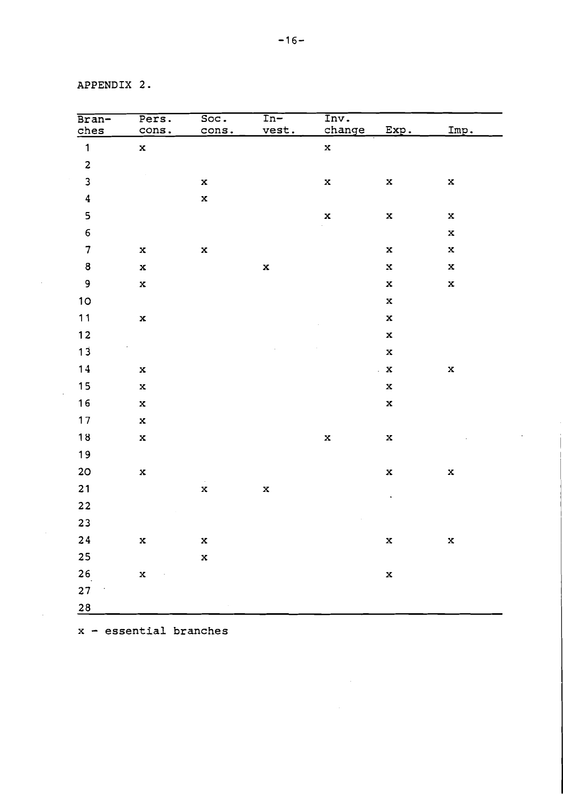APPENDIX 2.

 $\mathcal{L}^{\text{eff}}$ 

 $\sim 10^{-1}$ 

 $\sim$   $\sim$ 

| Bran-                          | Pers.       | Soc.                    | $\overline{\ln-}$ | Inv.        |                     |             |
|--------------------------------|-------------|-------------------------|-------------------|-------------|---------------------|-------------|
| ches                           | cons.       | cons.                   | vest.             | change      | Exp.                | Imp.        |
| $\mathbf{1}$                   | $\mathbf x$ |                         |                   | $\mathbf x$ |                     |             |
| $\overline{\mathbf{c}}$        |             |                         |                   |             |                     |             |
| $\mathbf{3}$                   |             | $\mathbf x$             |                   | $\mathbf x$ | $\mathbf x$         | $\mathbf x$ |
| $\overline{\mathbf{4}}$        |             | $\mathbf x$             |                   |             |                     |             |
| 5                              |             |                         |                   | $\mathbf x$ | $\mathbf x$         | $\bf x$     |
| $\mathbf 6$                    |             |                         |                   |             |                     | $\mathbf x$ |
| $\overline{7}$                 | $\mathbf x$ | $\mathbf x$             |                   |             | $\mathbf x$         | $\mathbf x$ |
| $\bf 8$                        | $\mathbf x$ |                         | $\mathbf x$       |             | $\bf x$             | $\mathbf x$ |
| 9                              | $\mathbf x$ |                         |                   |             | $\mathbf x$         | $\mathbf x$ |
| 10                             |             |                         |                   |             | $\mathbf x$         |             |
| $11$                           | $\mathbf x$ |                         |                   |             | $\mathbf x$         |             |
| $12$                           |             |                         |                   |             | $\mathbf x$         |             |
| $13$                           |             |                         |                   |             | $\mathbf x$         |             |
| 14                             | $\mathbf x$ |                         |                   |             | $\mathbf{X}$        | $\bf x$     |
| $15$                           | $\mathbf x$ |                         |                   |             | $\mathbf x$         |             |
| 16                             | $\mathbf x$ |                         |                   |             | $\mathbf x$         |             |
| 17                             | $\mathbf x$ |                         |                   |             |                     |             |
| $18$                           | $\mathbf x$ |                         |                   | $\mathbf x$ | $\mathbf x$         |             |
| 19                             |             |                         |                   |             |                     |             |
| 20 <sub>o</sub>                | $\mathbf x$ |                         |                   |             | $\mathbf x$         | $\mathbf x$ |
| 21                             |             | $\alpha$<br>$\mathbf x$ | $\mathbf x$       |             |                     |             |
| $22$                           |             |                         |                   |             | $\hat{\phantom{a}}$ |             |
| 23                             |             |                         |                   |             |                     |             |
| ${\bf 24}$                     | $\mathbf x$ | $\mathbf x$             |                   |             | $\mathbf x$         | $\bf x$     |
| 25                             |             | $\mathbf x$             |                   |             |                     |             |
| 26                             | $\mathbf x$ |                         |                   |             | $\mathbf x$         |             |
| 27<br>$\overline{\phantom{a}}$ |             |                         |                   |             |                     |             |
| $\frac{28}{1}$                 |             |                         |                   |             |                     |             |

 $\label{eq:2} \mathcal{L}_{\text{max}} = \mathcal{L}_{\text{max}} + \mathcal{L}_{\text{max}}$ 

 $\mathcal{L}^{\text{max}}_{\text{max}}$ 

x - essential branches